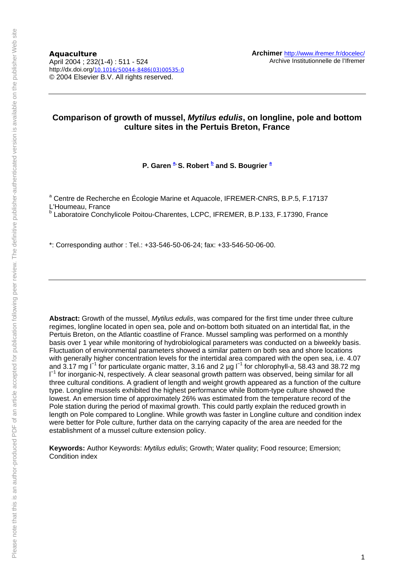**Aquaculture**  April 2004 ; 232(1-4) : 511 - 524 http://dx.doi.org/10.1016/S0044-8486(03)00535-0 © 2004 Elsevier B.V. All rights reserved.

## **Comparison of growth of mussel,** *Mytilus edulis***, on longline, pole and bottom culture sites in the Pertuis Breton, France**

**P. Garen**  $a$ **, S. Robert**  $b$  **and S. Bougrier**  $a$ 

<sup>a</sup> Centre de Recherche en Écologie Marine et Aquacole, IFREMER-CNRS, B.P.5, F.17137 L'Houmeau, France b Laboratoire Conchylicole Poitou-Charentes, LCPC, IFREMER, B.P.133, F.17390, France

\*: Corresponding author : Tel.: +33-546-50-06-24; fax: +33-546-50-06-00.

**Abstract:** Growth of the mussel, *Mytilus edulis*, was compared for the first time under three culture regimes, longline located in open sea, pole and on-bottom both situated on an intertidal flat, in the Pertuis Breton, on the Atlantic coastline of France. Mussel sampling was performed on a monthly basis over 1 year while monitoring of hydrobiological parameters was conducted on a biweekly basis. Fluctuation of environmental parameters showed a similar pattern on both sea and shore locations with generally higher concentration levels for the intertidal area compared with the open sea, i.e. 4.07 and 3.17 mg l<sup>−</sup><sup>1</sup> for particulate organic matter, 3.16 and 2 µg l<sup>−</sup><sup>1</sup> for chlorophyll-*a*, 58.43 and 38.72 mg l −1 for inorganic-N, respectively. A clear seasonal growth pattern was observed, being similar for all three cultural conditions. A gradient of length and weight growth appeared as a function of the culture type. Longline mussels exhibited the highest performance while Bottom-type culture showed the lowest. An emersion time of approximately 26% was estimated from the temperature record of the Pole station during the period of maximal growth. This could partly explain the reduced growth in length on Pole compared to Longline. While growth was faster in Longline culture and condition index were better for Pole culture, further data on the carrying capacity of the area are needed for the establishment of a mussel culture extension policy.

**Keywords:** Author Keywords: *Mytilus edulis*; Growth; Water quality; Food resource; Emersion; Condition index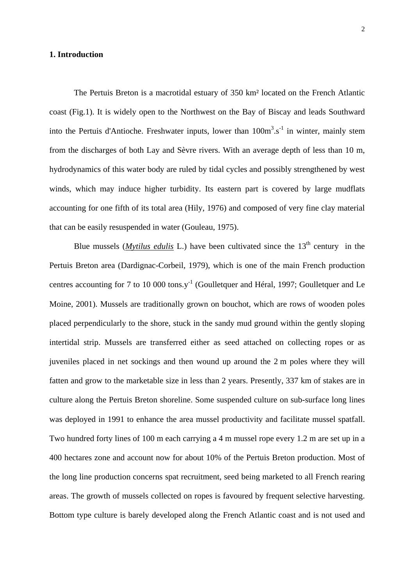### **1. Introduction**

The Pertuis Breton is a macrotidal estuary of 350 km² located on the French Atlantic coast (Fig.1). It is widely open to the Northwest on the Bay of Biscay and leads Southward into the Pertuis d'Antioche. Freshwater inputs, lower than  $100m^3.s^{-1}$  in winter, mainly stem from the discharges of both Lay and Sèvre rivers. With an average depth of less than 10 m, hydrodynamics of this water body are ruled by tidal cycles and possibly strengthened by west winds, which may induce higher turbidity. Its eastern part is covered by large mudflats accounting for one fifth of its total area (Hily, 1976) and composed of very fine clay material that can be easily resuspended in water (Gouleau, 1975).

Blue mussels (*Mytilus edulis* L.) have been cultivated since the  $13<sup>th</sup>$  century in the Pertuis Breton area (Dardignac-Corbeil, 1979), which is one of the main French production centres accounting for 7 to 10 000 tons. $y^{-1}$  (Goulletquer and Héral, 1997; Goulletquer and Le Moine, 2001). Mussels are traditionally grown on bouchot, which are rows of wooden poles placed perpendicularly to the shore, stuck in the sandy mud ground within the gently sloping intertidal strip. Mussels are transferred either as seed attached on collecting ropes or as juveniles placed in net sockings and then wound up around the 2 m poles where they will fatten and grow to the marketable size in less than 2 years. Presently, 337 km of stakes are in culture along the Pertuis Breton shoreline. Some suspended culture on sub-surface long lines was deployed in 1991 to enhance the area mussel productivity and facilitate mussel spatfall. Two hundred forty lines of 100 m each carrying a 4 m mussel rope every 1.2 m are set up in a 400 hectares zone and account now for about 10% of the Pertuis Breton production. Most of the long line production concerns spat recruitment, seed being marketed to all French rearing areas. The growth of mussels collected on ropes is favoured by frequent selective harvesting. Bottom type culture is barely developed along the French Atlantic coast and is not used and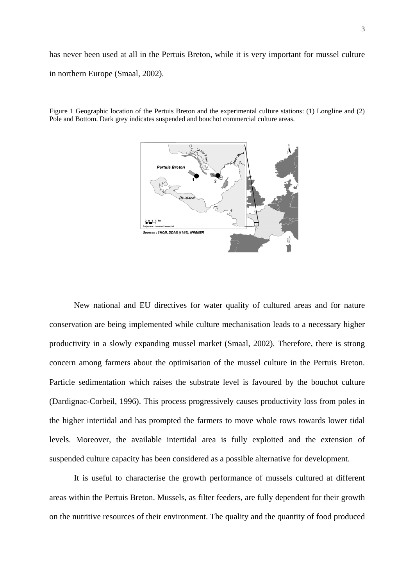has never been used at all in the Pertuis Breton, while it is very important for mussel culture in northern Europe (Smaal, 2002).



Figure 1 Geographic location of the Pertuis Breton and the experimental culture stations: (1) Longline and (2) Pole and Bottom. Dark grey indicates suspended and bouchot commercial culture areas.

New national and EU directives for water quality of cultured areas and for nature conservation are being implemented while culture mechanisation leads to a necessary higher productivity in a slowly expanding mussel market (Smaal, 2002). Therefore, there is strong concern among farmers about the optimisation of the mussel culture in the Pertuis Breton. Particle sedimentation which raises the substrate level is favoured by the bouchot culture (Dardignac-Corbeil, 1996). This process progressively causes productivity loss from poles in the higher intertidal and has prompted the farmers to move whole rows towards lower tidal levels. Moreover, the available intertidal area is fully exploited and the extension of suspended culture capacity has been considered as a possible alternative for development.

It is useful to characterise the growth performance of mussels cultured at different areas within the Pertuis Breton. Mussels, as filter feeders, are fully dependent for their growth on the nutritive resources of their environment. The quality and the quantity of food produced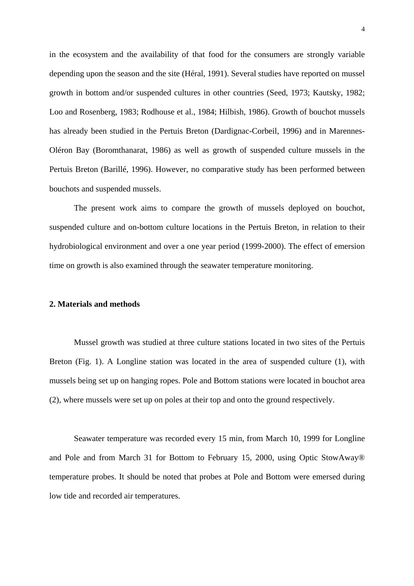in the ecosystem and the availability of that food for the consumers are strongly variable depending upon the season and the site (Héral, 1991). Several studies have reported on mussel growth in bottom and/or suspended cultures in other countries (Seed, 1973; Kautsky, 1982; Loo and Rosenberg, 1983; Rodhouse et al., 1984; Hilbish, 1986). Growth of bouchot mussels has already been studied in the Pertuis Breton (Dardignac-Corbeil, 1996) and in Marennes-Oléron Bay (Boromthanarat, 1986) as well as growth of suspended culture mussels in the Pertuis Breton (Barillé, 1996). However, no comparative study has been performed between bouchots and suspended mussels.

The present work aims to compare the growth of mussels deployed on bouchot, suspended culture and on-bottom culture locations in the Pertuis Breton, in relation to their hydrobiological environment and over a one year period (1999-2000). The effect of emersion time on growth is also examined through the seawater temperature monitoring.

#### **2. Materials and methods**

Mussel growth was studied at three culture stations located in two sites of the Pertuis Breton (Fig. 1). A Longline station was located in the area of suspended culture (1), with mussels being set up on hanging ropes. Pole and Bottom stations were located in bouchot area (2), where mussels were set up on poles at their top and onto the ground respectively.

Seawater temperature was recorded every 15 min, from March 10, 1999 for Longline and Pole and from March 31 for Bottom to February 15, 2000, using Optic StowAway® temperature probes. It should be noted that probes at Pole and Bottom were emersed during low tide and recorded air temperatures.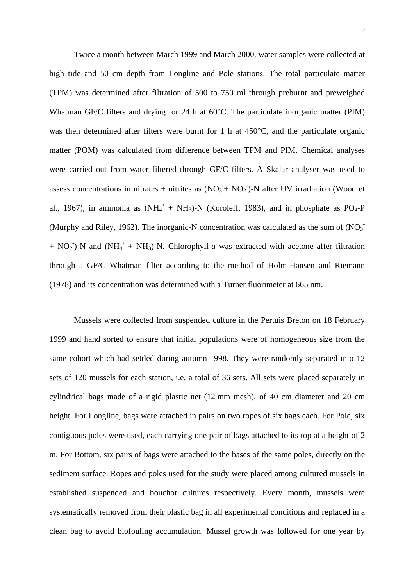Twice a month between March 1999 and March 2000, water samples were collected at high tide and 50 cm depth from Longline and Pole stations. The total particulate matter (TPM) was determined after filtration of 500 to 750 ml through preburnt and preweighed Whatman GF/C filters and drying for 24 h at 60°C. The particulate inorganic matter (PIM) was then determined after filters were burnt for 1 h at 450°C, and the particulate organic matter (POM) was calculated from difference between TPM and PIM. Chemical analyses were carried out from water filtered through GF/C filters. A Skalar analyser was used to assess concentrations in nitrates + nitrites as  $(NO<sub>3</sub> + NO<sub>2</sub>)$ -N after UV irradiation (Wood et al., 1967), in ammonia as  $(NH_4^+ + NH_3)$ -N (Koroleff, 1983), and in phosphate as PO<sub>4</sub>-P (Murphy and Riley, 1962). The inorganic-N concentration was calculated as the sum of  $(NO<sub>3</sub>)$ <sup>-</sup>  $+ NO<sub>2</sub>$ )-N and (NH<sub>4</sub><sup>+</sup> + NH<sub>3</sub>)-N. Chlorophyll-a was extracted with acetone after filtration through a GF/C Whatman filter according to the method of Holm-Hansen and Riemann (1978) and its concentration was determined with a Turner fluorimeter at 665 nm.

Mussels were collected from suspended culture in the Pertuis Breton on 18 February 1999 and hand sorted to ensure that initial populations were of homogeneous size from the same cohort which had settled during autumn 1998. They were randomly separated into 12 sets of 120 mussels for each station, i.e. a total of 36 sets. All sets were placed separately in cylindrical bags made of a rigid plastic net (12 mm mesh), of 40 cm diameter and 20 cm height. For Longline, bags were attached in pairs on two ropes of six bags each. For Pole, six contiguous poles were used, each carrying one pair of bags attached to its top at a height of 2 m. For Bottom, six pairs of bags were attached to the bases of the same poles, directly on the sediment surface. Ropes and poles used for the study were placed among cultured mussels in established suspended and bouchot cultures respectively. Every month, mussels were systematically removed from their plastic bag in all experimental conditions and replaced in a clean bag to avoid biofouling accumulation. Mussel growth was followed for one year by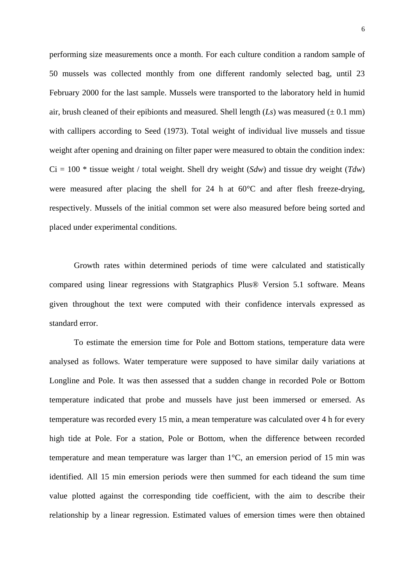performing size measurements once a month. For each culture condition a random sample of 50 mussels was collected monthly from one different randomly selected bag, until 23 February 2000 for the last sample. Mussels were transported to the laboratory held in humid air, brush cleaned of their epibionts and measured. Shell length  $(Ls)$  was measured ( $\pm$  0.1 mm) with callipers according to Seed (1973). Total weight of individual live mussels and tissue weight after opening and draining on filter paper were measured to obtain the condition index:  $Ci = 100$  \* tissue weight / total weight. Shell dry weight (*Sdw*) and tissue dry weight (*Tdw*) were measured after placing the shell for 24 h at 60°C and after flesh freeze-drying, respectively. Mussels of the initial common set were also measured before being sorted and placed under experimental conditions.

Growth rates within determined periods of time were calculated and statistically compared using linear regressions with Statgraphics Plus® Version 5.1 software. Means given throughout the text were computed with their confidence intervals expressed as standard error.

To estimate the emersion time for Pole and Bottom stations, temperature data were analysed as follows. Water temperature were supposed to have similar daily variations at Longline and Pole. It was then assessed that a sudden change in recorded Pole or Bottom temperature indicated that probe and mussels have just been immersed or emersed. As temperature was recorded every 15 min, a mean temperature was calculated over 4 h for every high tide at Pole. For a station, Pole or Bottom, when the difference between recorded temperature and mean temperature was larger than 1°C, an emersion period of 15 min was identified. All 15 min emersion periods were then summed for each tideand the sum time value plotted against the corresponding tide coefficient, with the aim to describe their relationship by a linear regression. Estimated values of emersion times were then obtained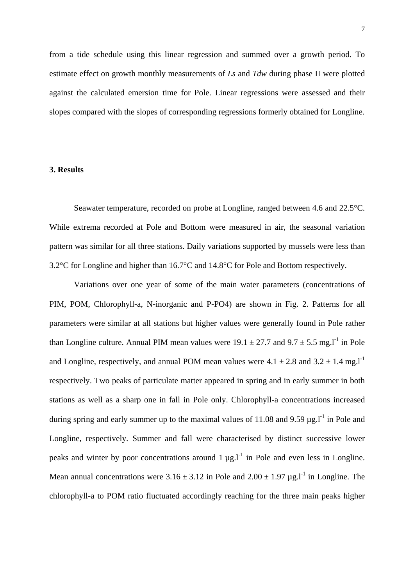from a tide schedule using this linear regression and summed over a growth period. To estimate effect on growth monthly measurements of *Ls* and *Tdw* during phase II were plotted against the calculated emersion time for Pole. Linear regressions were assessed and their slopes compared with the slopes of corresponding regressions formerly obtained for Longline.

### **3. Results**

Seawater temperature, recorded on probe at Longline, ranged between 4.6 and 22.5°C. While extrema recorded at Pole and Bottom were measured in air, the seasonal variation pattern was similar for all three stations. Daily variations supported by mussels were less than 3.2°C for Longline and higher than 16.7°C and 14.8°C for Pole and Bottom respectively.

Variations over one year of some of the main water parameters (concentrations of PIM, POM, Chlorophyll-a, N-inorganic and P-PO4) are shown in Fig. 2. Patterns for all parameters were similar at all stations but higher values were generally found in Pole rather than Longline culture. Annual PIM mean values were  $19.1 \pm 27.7$  and  $9.7 \pm 5.5$  mg.  $l^{-1}$  in Pole and Longline, respectively, and annual POM mean values were  $4.1 \pm 2.8$  and  $3.2 \pm 1.4$  mg.<sup>1-1</sup> respectively. Two peaks of particulate matter appeared in spring and in early summer in both stations as well as a sharp one in fall in Pole only. Chlorophyll-a concentrations increased during spring and early summer up to the maximal values of 11.08 and 9.59  $\mu$ g.l<sup>-1</sup> in Pole and Longline, respectively. Summer and fall were characterised by distinct successive lower peaks and winter by poor concentrations around  $1 \mu g I^{-1}$  in Pole and even less in Longline. Mean annual concentrations were  $3.16 \pm 3.12$  in Pole and  $2.00 \pm 1.97$  µg.<sup>11</sup> in Longline. The chlorophyll-a to POM ratio fluctuated accordingly reaching for the three main peaks higher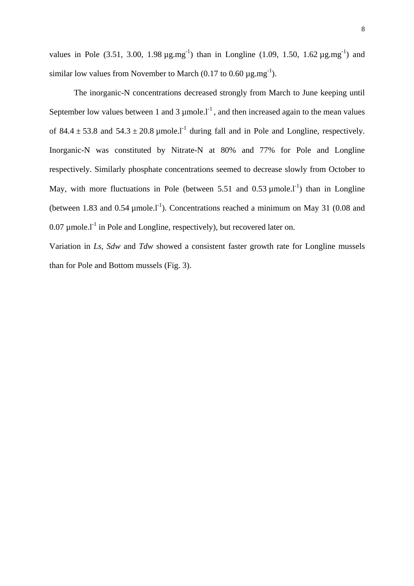values in Pole (3.51, 3.00, 1.98  $\mu$ g.mg<sup>-1</sup>) than in Longline (1.09, 1.50, 1.62  $\mu$ g.mg<sup>-1</sup>) and similar low values from November to March (0.17 to 0.60  $\mu$ g.mg<sup>-1</sup>).

The inorganic-N concentrations decreased strongly from March to June keeping until September low values between 1 and 3  $\mu$ mole.<sup>1-1</sup>, and then increased again to the mean values of 84.4  $\pm$  53.8 and 54.3  $\pm$  20.8 µmole.<sup>1-1</sup> during fall and in Pole and Longline, respectively. Inorganic-N was constituted by Nitrate-N at 80% and 77% for Pole and Longline respectively. Similarly phosphate concentrations seemed to decrease slowly from October to May, with more fluctuations in Pole (between 5.51 and 0.53  $\mu$ mole.<sup>1</sup>) than in Longline (between 1.83 and 0.54  $\mu$ mole.l<sup>-1</sup>). Concentrations reached a minimum on May 31 (0.08 and  $0.07 \mu$  mole.<sup>1-1</sup> in Pole and Longline, respectively), but recovered later on.

Variation in *Ls*, *Sdw* and *Tdw* showed a consistent faster growth rate for Longline mussels than for Pole and Bottom mussels (Fig. 3).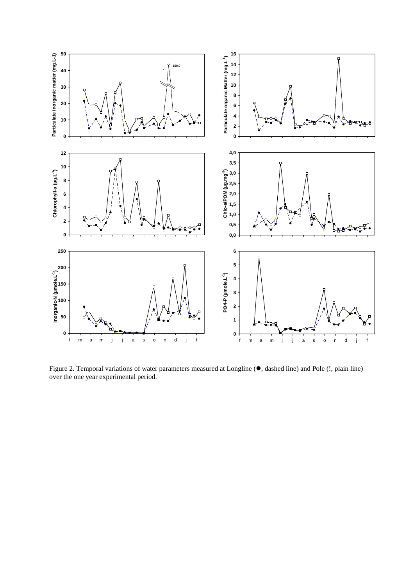

Figure 2. Temporal variations of water parameters measured at Longline ( $\bullet$ , dashed line) and Pole (!, plain line) over the one year experimental period.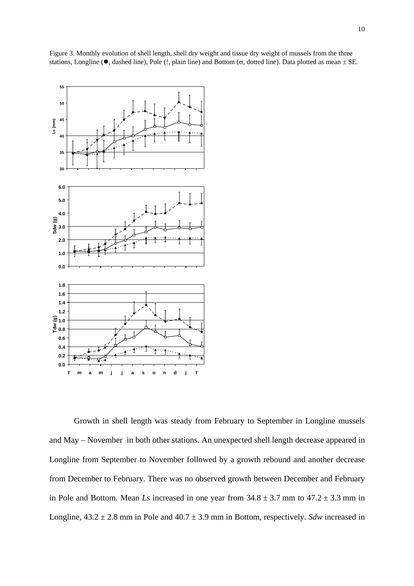

Figure 3. Monthly evolution of shell length, shell dry weight and tissue dry weight of mussels from the three stations, Longline ( $\bullet$ , dashed line), Pole (!, plain line) and Bottom ( $\sigma$ , dotted line). Data plotted as mean  $\pm$  SE.

Growth in shell length was steady from February to September in Longline mussels and May – November in both other stations. An unexpected shell length decrease appeared in Longline from September to November followed by a growth rebound and another decrease from December to February. There was no observed growth between December and February in Pole and Bottom. Mean *Ls* increased in one year from  $34.8 \pm 3.7$  mm to  $47.2 \pm 3.3$  mm in Longline,  $43.2 \pm 2.8$  mm in Pole and  $40.7 \pm 3.9$  mm in Bottom, respectively. *Sdw* increased in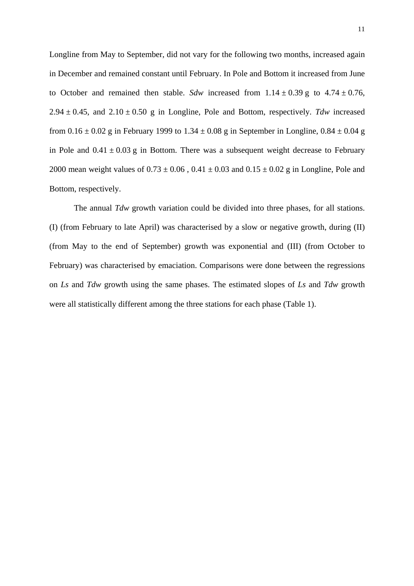Longline from May to September, did not vary for the following two months, increased again in December and remained constant until February. In Pole and Bottom it increased from June to October and remained then stable. *Sdw* increased from  $1.14 \pm 0.39$  g to  $4.74 \pm 0.76$ , 2.94  $\pm$  0.45, and 2.10  $\pm$  0.50 g in Longline, Pole and Bottom, respectively. Tdw increased from  $0.16 \pm 0.02$  g in February 1999 to  $1.34 \pm 0.08$  g in September in Longline,  $0.84 \pm 0.04$  g in Pole and  $0.41 \pm 0.03$  g in Bottom. There was a subsequent weight decrease to February 2000 mean weight values of  $0.73 \pm 0.06$ ,  $0.41 \pm 0.03$  and  $0.15 \pm 0.02$  g in Longline, Pole and Bottom, respectively.

The annual *Tdw* growth variation could be divided into three phases, for all stations. (I) (from February to late April) was characterised by a slow or negative growth, during (II) (from May to the end of September) growth was exponential and (III) (from October to February) was characterised by emaciation. Comparisons were done between the regressions on *Ls* and *Tdw* growth using the same phases. The estimated slopes of *Ls* and *Tdw* growth were all statistically different among the three stations for each phase (Table 1).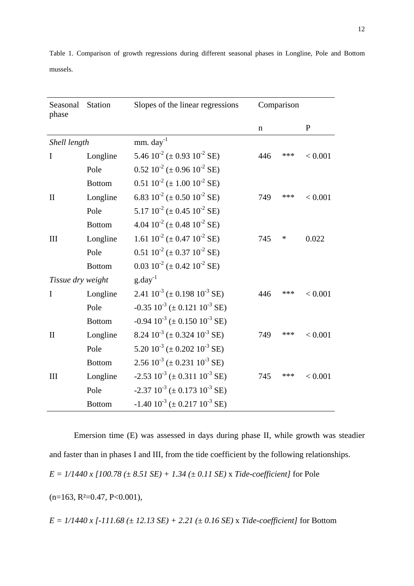| Seasonal<br>phase | <b>Station</b> | Slopes of the linear regressions                             | Comparison |     |              |
|-------------------|----------------|--------------------------------------------------------------|------------|-----|--------------|
|                   |                |                                                              | n          |     | $\mathbf{P}$ |
| Shell length      |                | $mm.$ day <sup>-1</sup>                                      |            |     |              |
| I                 | Longline       | 5.46 $10^{2}$ (± 0.93 $10^{2}$ SE)                           | 446        | *** | < 0.001      |
|                   | Pole           | $0.52 \ 10^{-2} \ (\pm 0.96 \ 10^{-2} \ \text{SE})$          |            |     |              |
|                   | <b>Bottom</b>  | $0.51 \ 10^{-2} \ (\pm 1.00 \ 10^{-2} \ \text{SE})$          |            |     |              |
| $\mathbf{I}$      | Longline       | 6.83 $10^{-2}$ (± 0.50 $10^{-2}$ SE)                         | 749        | *** | < 0.001      |
|                   | Pole           | 5.17 $10^{2}$ ( $\pm$ 0.45 $10^{2}$ SE)                      |            |     |              |
|                   | <b>Bottom</b>  | 4.04 $10^{2}$ (± 0.48 $10^{2}$ SE)                           |            |     |              |
| III               | Longline       | 1.61 $10^{-2}$ (± 0.47 $10^{-2}$ SE)                         | 745        | ∗   | 0.022        |
|                   | Pole           | $0.51 \ 10^{-2} \ (\pm 0.37 \ 10^{-2} \ \text{SE})$          |            |     |              |
|                   | <b>Bottom</b>  | $0.03 \ 10^{-2} \ (\pm 0.42 \ 10^{-2} \ \text{SE})$          |            |     |              |
| Tissue dry weight |                | $g \cdot day^{-1}$                                           |            |     |              |
| $\mathbf I$       | Longline       | 2.41 $10^{-3}$ ( $\pm$ 0.198 $10^{-3}$ SE)                   | 446        | *** | < 0.001      |
|                   | Pole           | $-0.35$ $10^{-3}$ ( $\pm$ 0.121 $10^{-3}$ SE)                |            |     |              |
|                   | <b>Bottom</b>  | $-0.94$ $10^{-3}$ ( $\pm$ 0.150 $10^{-3}$ SE)                |            |     |              |
| $\mathbf{I}$      | Longline       | 8.24 $10^{-3}$ ( $\pm$ 0.324 $10^{-3}$ SE)                   | 749        | *** | < 0.001      |
|                   | Pole           | 5.20 $10^{-3}$ ( $\pm$ 0.202 $10^{-3}$ SE)                   |            |     |              |
|                   | <b>Bottom</b>  | $2.56 \times 10^{-3}$ (± 0.231 $10^{-3}$ SE)                 |            |     |              |
| III               | Longline       | $-2.53 \times 10^{-3} (\pm 0.311 \times 10^{-3} \text{ SE})$ | 745        | *** | < 0.001      |
|                   | Pole           | $-2.37 \, 10^{-3} \, (\pm 0.173 \, 10^{-3} \, \text{SE})$    |            |     |              |
|                   | <b>Bottom</b>  | $-1.40$ $10^{-3}$ ( $\pm$ 0.217 $10^{-3}$ SE)                |            |     |              |

Table 1. Comparison of growth regressions during different seasonal phases in Longline, Pole and Bottom mussels.

Emersion time (E) was assessed in days during phase II, while growth was steadier and faster than in phases I and III, from the tide coefficient by the following relationships. *E = 1/1440 x [100.78 (± 8.51 SE) + 1.34 (± 0.11 SE)* x *Tide-coefficient]* for Pole  $(n=163, R<sup>2</sup>=0.47, P<0.001)$ ,

*E = 1/1440 x [-111.68 (± 12.13 SE) + 2.21 (± 0.16 SE)* x *Tide-coefficient]* for Bottom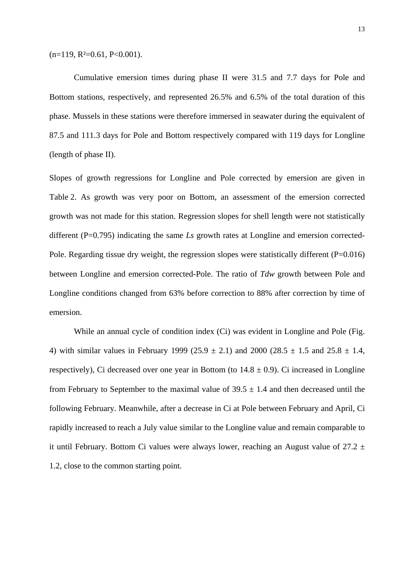$(n=119, R<sup>2</sup>=0.61, P<0.001).$ 

Cumulative emersion times during phase II were 31.5 and 7.7 days for Pole and Bottom stations, respectively, and represented 26.5% and 6.5% of the total duration of this phase. Mussels in these stations were therefore immersed in seawater during the equivalent of 87.5 and 111.3 days for Pole and Bottom respectively compared with 119 days for Longline (length of phase II).

Slopes of growth regressions for Longline and Pole corrected by emersion are given in Table 2. As growth was very poor on Bottom, an assessment of the emersion corrected growth was not made for this station. Regression slopes for shell length were not statistically different (P=0.795) indicating the same *Ls* growth rates at Longline and emersion corrected-Pole. Regarding tissue dry weight, the regression slopes were statistically different (P=0.016) between Longline and emersion corrected-Pole. The ratio of *Tdw* growth between Pole and Longline conditions changed from 63% before correction to 88% after correction by time of emersion.

While an annual cycle of condition index (Ci) was evident in Longline and Pole (Fig. 4) with similar values in February 1999 (25.9  $\pm$  2.1) and 2000 (28.5  $\pm$  1.5 and 25.8  $\pm$  1.4, respectively), Ci decreased over one year in Bottom (to  $14.8 \pm 0.9$ ). Ci increased in Longline from February to September to the maximal value of  $39.5 \pm 1.4$  and then decreased until the following February. Meanwhile, after a decrease in Ci at Pole between February and April, Ci rapidly increased to reach a July value similar to the Longline value and remain comparable to it until February. Bottom Ci values were always lower, reaching an August value of  $27.2 \pm$ 1.2, close to the common starting point.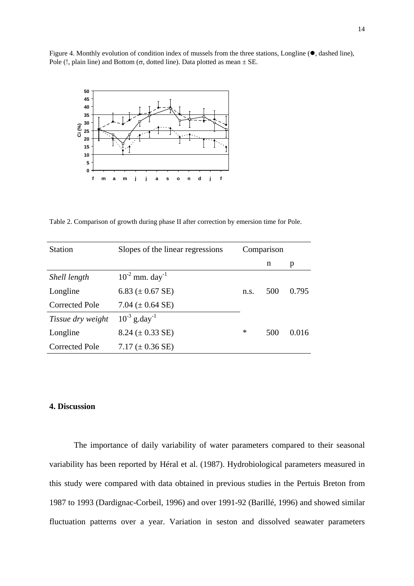Figure 4. Monthly evolution of condition index of mussels from the three stations, Longline ( $\bullet$ , dashed line), Pole (!, plain line) and Bottom ( $\sigma$ , dotted line). Data plotted as mean  $\pm$  SE.



Table 2. Comparison of growth during phase II after correction by emersion time for Pole.

| <b>Station</b>        | Slopes of the linear regressions | Comparison |     |       |
|-----------------------|----------------------------------|------------|-----|-------|
|                       |                                  |            | n   | p     |
| Shell length          | $10^{-2}$ mm. day <sup>-1</sup>  |            |     |       |
| Longline              | 6.83 ( $\pm$ 0.67 SE)            | n.s.       | 500 | 0.795 |
| <b>Corrected Pole</b> | 7.04 $(\pm 0.64$ SE)             |            |     |       |
| Tissue dry weight     | $10^{-3}$ g.day <sup>-1</sup>    |            |     |       |
| Longline              | $8.24 (\pm 0.33 \text{ SE})$     | ∗          | 500 | 0.016 |
| Corrected Pole        | 7.17 $(\pm 0.36$ SE)             |            |     |       |

# **4. Discussion**

The importance of daily variability of water parameters compared to their seasonal variability has been reported by Héral et al. (1987). Hydrobiological parameters measured in this study were compared with data obtained in previous studies in the Pertuis Breton from 1987 to 1993 (Dardignac-Corbeil, 1996) and over 1991-92 (Barillé, 1996) and showed similar fluctuation patterns over a year. Variation in seston and dissolved seawater parameters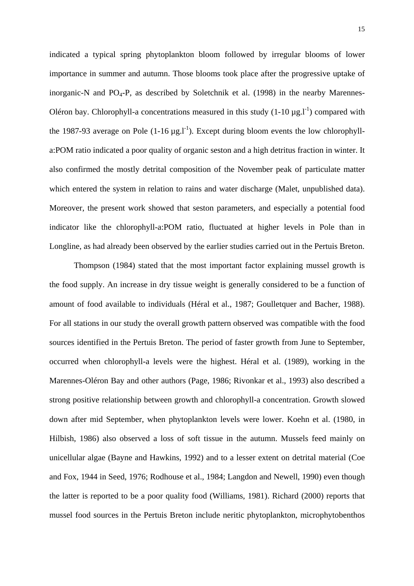indicated a typical spring phytoplankton bloom followed by irregular blooms of lower importance in summer and autumn. Those blooms took place after the progressive uptake of inorganic-N and  $PO_4$ -P, as described by Soletchnik et al. (1998) in the nearby Marennes-Oléron bay. Chlorophyll-a concentrations measured in this study  $(1-10 \mu g.1^{-1})$  compared with the 1987-93 average on Pole  $(1\t{-}16 \mu g.1)$ <sup>-1</sup>). Except during bloom events the low chlorophylla:POM ratio indicated a poor quality of organic seston and a high detritus fraction in winter. It also confirmed the mostly detrital composition of the November peak of particulate matter which entered the system in relation to rains and water discharge (Malet, unpublished data). Moreover, the present work showed that seston parameters, and especially a potential food indicator like the chlorophyll-a:POM ratio, fluctuated at higher levels in Pole than in Longline, as had already been observed by the earlier studies carried out in the Pertuis Breton.

Thompson (1984) stated that the most important factor explaining mussel growth is the food supply. An increase in dry tissue weight is generally considered to be a function of amount of food available to individuals (Héral et al., 1987; Goulletquer and Bacher, 1988). For all stations in our study the overall growth pattern observed was compatible with the food sources identified in the Pertuis Breton. The period of faster growth from June to September, occurred when chlorophyll-a levels were the highest. Héral et al. (1989), working in the Marennes-Oléron Bay and other authors (Page, 1986; Rivonkar et al., 1993) also described a strong positive relationship between growth and chlorophyll-a concentration. Growth slowed down after mid September, when phytoplankton levels were lower. Koehn et al. (1980, in Hilbish, 1986) also observed a loss of soft tissue in the autumn. Mussels feed mainly on unicellular algae (Bayne and Hawkins, 1992) and to a lesser extent on detrital material (Coe and Fox, 1944 in Seed, 1976; Rodhouse et al., 1984; Langdon and Newell, 1990) even though the latter is reported to be a poor quality food (Williams, 1981). Richard (2000) reports that mussel food sources in the Pertuis Breton include neritic phytoplankton, microphytobenthos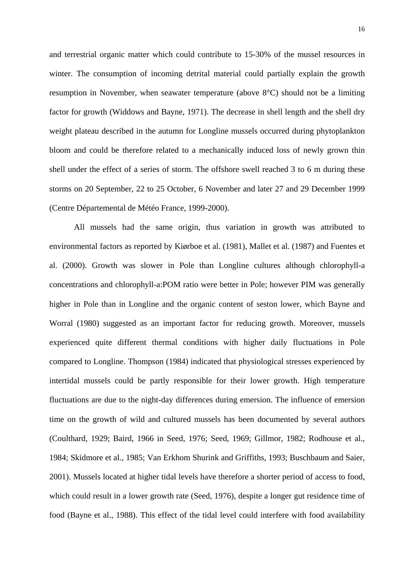and terrestrial organic matter which could contribute to 15-30% of the mussel resources in winter. The consumption of incoming detrital material could partially explain the growth resumption in November, when seawater temperature (above 8°C) should not be a limiting factor for growth (Widdows and Bayne, 1971). The decrease in shell length and the shell dry weight plateau described in the autumn for Longline mussels occurred during phytoplankton bloom and could be therefore related to a mechanically induced loss of newly grown thin shell under the effect of a series of storm. The offshore swell reached 3 to 6 m during these storms on 20 September, 22 to 25 October, 6 November and later 27 and 29 December 1999 (Centre Départemental de Météo France, 1999-2000).

All mussels had the same origin, thus variation in growth was attributed to environmental factors as reported by Kiørboe et al. (1981), Mallet et al. (1987) and Fuentes et al. (2000). Growth was slower in Pole than Longline cultures although chlorophyll-a concentrations and chlorophyll-a:POM ratio were better in Pole; however PIM was generally higher in Pole than in Longline and the organic content of seston lower, which Bayne and Worral (1980) suggested as an important factor for reducing growth. Moreover, mussels experienced quite different thermal conditions with higher daily fluctuations in Pole compared to Longline. Thompson (1984) indicated that physiological stresses experienced by intertidal mussels could be partly responsible for their lower growth. High temperature fluctuations are due to the night-day differences during emersion. The influence of emersion time on the growth of wild and cultured mussels has been documented by several authors (Coulthard, 1929; Baird, 1966 in Seed, 1976; Seed, 1969; Gillmor, 1982; Rodhouse et al., 1984; Skidmore et al., 1985; Van Erkhom Shurink and Griffiths, 1993; Buschbaum and Saier, 2001). Mussels located at higher tidal levels have therefore a shorter period of access to food, which could result in a lower growth rate (Seed, 1976), despite a longer gut residence time of food (Bayne et al., 1988). This effect of the tidal level could interfere with food availability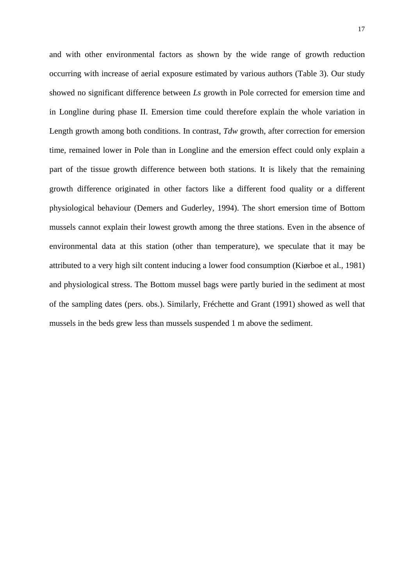and with other environmental factors as shown by the wide range of growth reduction occurring with increase of aerial exposure estimated by various authors (Table 3). Our study showed no significant difference between *Ls* growth in Pole corrected for emersion time and in Longline during phase II. Emersion time could therefore explain the whole variation in Length growth among both conditions. In contrast, *Tdw* growth, after correction for emersion time, remained lower in Pole than in Longline and the emersion effect could only explain a part of the tissue growth difference between both stations. It is likely that the remaining growth difference originated in other factors like a different food quality or a different physiological behaviour (Demers and Guderley, 1994). The short emersion time of Bottom mussels cannot explain their lowest growth among the three stations. Even in the absence of environmental data at this station (other than temperature), we speculate that it may be attributed to a very high silt content inducing a lower food consumption (Kiørboe et al., 1981) and physiological stress. The Bottom mussel bags were partly buried in the sediment at most of the sampling dates (pers. obs.). Similarly, Fréchette and Grant (1991) showed as well that mussels in the beds grew less than mussels suspended 1 m above the sediment.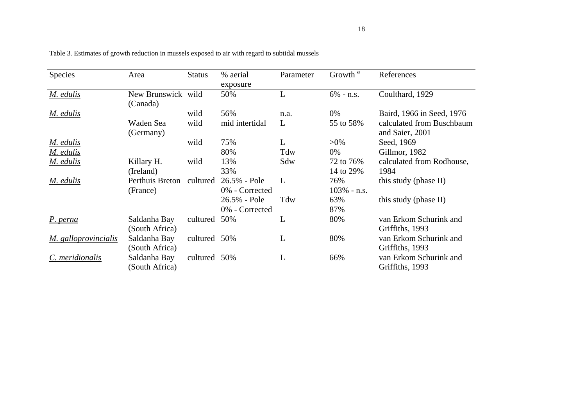| Species              | Area                           | <b>Status</b> | % aerial<br>exposure           | Parameter | Growth <sup>a</sup>    | References                                   |
|----------------------|--------------------------------|---------------|--------------------------------|-----------|------------------------|----------------------------------------------|
| M. edulis            | New Brunswick wild<br>(Canada) |               | 50%                            | L         | $6\%$ - n.s.           | Coulthard, 1929                              |
| M. edulis            |                                | wild          | 56%                            | n.a.      | 0%                     | Baird, 1966 in Seed, 1976                    |
|                      | Waden Sea<br>(Germany)         | wild          | mid intertidal                 | L         | 55 to 58%              | calculated from Buschbaum<br>and Saier, 2001 |
| M. edulis            |                                | wild          | 75%                            | L         | $>0\%$                 | Seed, 1969                                   |
| M. edulis            |                                |               | 80%                            | Tdw       | 0%                     | Gillmor, 1982                                |
| M. edulis            | Killary H.<br>(Ireland)        | wild          | 13%<br>33%                     | Sdw       | 72 to 76%<br>14 to 29% | calculated from Rodhouse,<br>1984            |
| M. edulis            | Perthuis Breton<br>(France)    | cultured      | 26.5% - Pole<br>0% - Corrected | L         | 76%<br>$103\%$ - n.s.  | this study (phase II)                        |
|                      |                                |               | 26.5% - Pole<br>0% - Corrected | Tdw       | 63%<br>87%             | this study (phase II)                        |
| P. perna             | Saldanha Bay<br>(South Africa) | cultured      | 50%                            | L         | 80%                    | van Erkom Schurink and<br>Griffiths, 1993    |
| M. galloprovincialis | Saldanha Bay<br>(South Africa) | cultured 50%  |                                | L         | 80%                    | van Erkom Schurink and<br>Griffiths, 1993    |
| C. meridionalis      | Saldanha Bay<br>(South Africa) | cultured 50%  |                                | L         | 66%                    | van Erkom Schurink and<br>Griffiths, 1993    |

Table 3. Estimates of growth reduction in mussels exposed to air with regard to subtidal mussels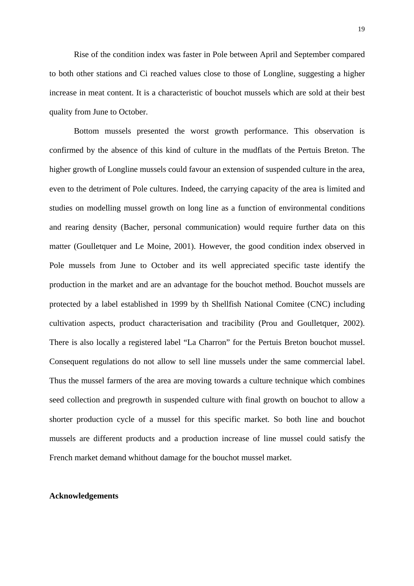Rise of the condition index was faster in Pole between April and September compared to both other stations and Ci reached values close to those of Longline, suggesting a higher increase in meat content. It is a characteristic of bouchot mussels which are sold at their best quality from June to October.

Bottom mussels presented the worst growth performance. This observation is confirmed by the absence of this kind of culture in the mudflats of the Pertuis Breton. The higher growth of Longline mussels could favour an extension of suspended culture in the area, even to the detriment of Pole cultures. Indeed, the carrying capacity of the area is limited and studies on modelling mussel growth on long line as a function of environmental conditions and rearing density (Bacher, personal communication) would require further data on this matter (Goulletquer and Le Moine, 2001). However, the good condition index observed in Pole mussels from June to October and its well appreciated specific taste identify the production in the market and are an advantage for the bouchot method. Bouchot mussels are protected by a label established in 1999 by th Shellfish National Comitee (CNC) including cultivation aspects, product characterisation and tracibility (Prou and Goulletquer, 2002). There is also locally a registered label "La Charron" for the Pertuis Breton bouchot mussel. Consequent regulations do not allow to sell line mussels under the same commercial label. Thus the mussel farmers of the area are moving towards a culture technique which combines seed collection and pregrowth in suspended culture with final growth on bouchot to allow a shorter production cycle of a mussel for this specific market. So both line and bouchot mussels are different products and a production increase of line mussel could satisfy the French market demand whithout damage for the bouchot mussel market.

### **Acknowledgements**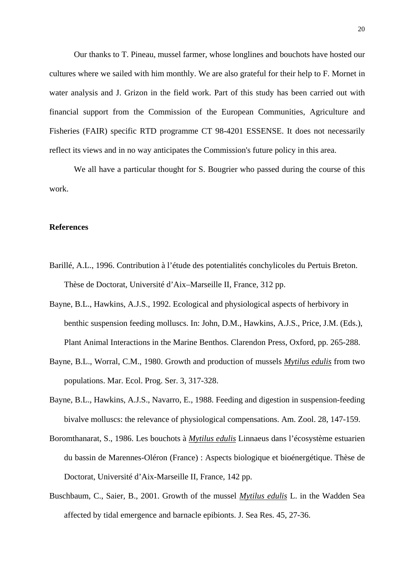Our thanks to T. Pineau, mussel farmer, whose longlines and bouchots have hosted our cultures where we sailed with him monthly. We are also grateful for their help to F. Mornet in water analysis and J. Grizon in the field work. Part of this study has been carried out with financial support from the Commission of the European Communities, Agriculture and Fisheries (FAIR) specific RTD programme CT 98-4201 ESSENSE. It does not necessarily reflect its views and in no way anticipates the Commission's future policy in this area.

We all have a particular thought for S. Bougrier who passed during the course of this work.

# **References**

- Barillé, A.L., 1996. Contribution à l'étude des potentialités conchylicoles du Pertuis Breton. Thèse de Doctorat, Université d'Aix–Marseille II, France, 312 pp.
- Bayne, B.L., Hawkins, A.J.S., 1992. Ecological and physiological aspects of herbivory in benthic suspension feeding molluscs. In: John, D.M., Hawkins, A.J.S., Price, J.M. (Eds.), Plant Animal Interactions in the Marine Benthos. Clarendon Press, Oxford, pp. 265-288.
- Bayne, B.L., Worral, C.M., 1980. Growth and production of mussels *Mytilus edulis* from two populations. Mar. Ecol. Prog. Ser. 3, 317-328.
- Bayne, B.L., Hawkins, A.J.S., Navarro, E., 1988. Feeding and digestion in suspension-feeding bivalve molluscs: the relevance of physiological compensations. Am. Zool. 28, 147-159.
- Boromthanarat, S., 1986. Les bouchots à *Mytilus edulis* Linnaeus dans l'écosystème estuarien du bassin de Marennes-Oléron (France) : Aspects biologique et bioénergétique. Thèse de Doctorat, Université d'Aix-Marseille II, France, 142 pp.
- Buschbaum, C., Saier, B., 2001. Growth of the mussel *Mytilus edulis* L. in the Wadden Sea affected by tidal emergence and barnacle epibionts. J. Sea Res. 45, 27-36.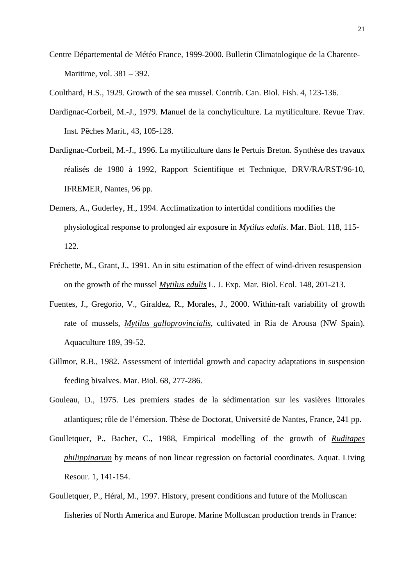Centre Départemental de Météo France, 1999-2000. Bulletin Climatologique de la Charente-Maritime, vol. 381 – 392.

Coulthard, H.S., 1929. Growth of the sea mussel. Contrib. Can. Biol. Fish. 4, 123-136.

- Dardignac-Corbeil, M.-J., 1979. Manuel de la conchyliculture. La mytiliculture. Revue Trav. Inst. Pêches Marit., 43, 105-128.
- Dardignac-Corbeil, M.-J., 1996. La mytiliculture dans le Pertuis Breton. Synthèse des travaux réalisés de 1980 à 1992, Rapport Scientifique et Technique, DRV/RA/RST/96-10, IFREMER, Nantes, 96 pp.
- Demers, A., Guderley, H., 1994. Acclimatization to intertidal conditions modifies the physiological response to prolonged air exposure in *Mytilus edulis*. Mar. Biol. 118, 115- 122.
- Fréchette, M., Grant, J., 1991. An in situ estimation of the effect of wind-driven resuspension on the growth of the mussel *Mytilus edulis* L. J. Exp. Mar. Biol. Ecol. 148, 201-213.
- Fuentes, J., Gregorio, V., Giraldez, R., Morales, J., 2000. Within-raft variability of growth rate of mussels, *Mytilus galloprovincialis*, cultivated in Ria de Arousa (NW Spain). Aquaculture 189, 39-52.
- Gillmor, R.B., 1982. Assessment of intertidal growth and capacity adaptations in suspension feeding bivalves. Mar. Biol. 68, 277-286.
- Gouleau, D., 1975. Les premiers stades de la sédimentation sur les vasières littorales atlantiques; rôle de l'émersion. Thèse de Doctorat, Université de Nantes, France, 241 pp.
- Goulletquer, P., Bacher, C., 1988, Empirical modelling of the growth of *Ruditapes philippinarum* by means of non linear regression on factorial coordinates. Aquat. Living Resour. 1, 141-154.
- Goulletquer, P., Héral, M., 1997. History, present conditions and future of the Molluscan fisheries of North America and Europe. Marine Molluscan production trends in France: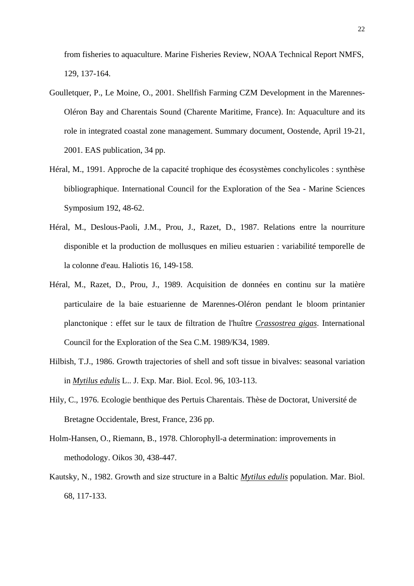from fisheries to aquaculture. Marine Fisheries Review, NOAA Technical Report NMFS, 129, 137-164.

- Goulletquer, P., Le Moine, O., 2001. Shellfish Farming CZM Development in the Marennes-Oléron Bay and Charentais Sound (Charente Maritime, France). In: Aquaculture and its role in integrated coastal zone management. Summary document, Oostende, April 19-21, 2001. EAS publication, 34 pp.
- Héral, M., 1991. Approche de la capacité trophique des écosystèmes conchylicoles : synthèse bibliographique. International Council for the Exploration of the Sea - Marine Sciences Symposium 192, 48-62.
- Héral, M., Deslous-Paoli, J.M., Prou, J., Razet, D., 1987. Relations entre la nourriture disponible et la production de mollusques en milieu estuarien : variabilité temporelle de la colonne d'eau. Haliotis 16, 149-158.
- Héral, M., Razet, D., Prou, J., 1989. Acquisition de données en continu sur la matière particulaire de la baie estuarienne de Marennes-Oléron pendant le bloom printanier planctonique : effet sur le taux de filtration de l'huître *Crassostrea gigas*. International Council for the Exploration of the Sea C.M. 1989/K34, 1989.
- Hilbish, T.J., 1986. Growth trajectories of shell and soft tissue in bivalves: seasonal variation in *Mytilus edulis* L.. J. Exp. Mar. Biol. Ecol. 96, 103-113.
- Hily, C., 1976. Ecologie benthique des Pertuis Charentais. Thèse de Doctorat, Université de Bretagne Occidentale, Brest, France, 236 pp.
- Holm-Hansen, O., Riemann, B., 1978. Chlorophyll-a determination: improvements in methodology. Oikos 30, 438-447.
- Kautsky, N., 1982. Growth and size structure in a Baltic *Mytilus edulis* population. Mar. Biol. 68, 117-133.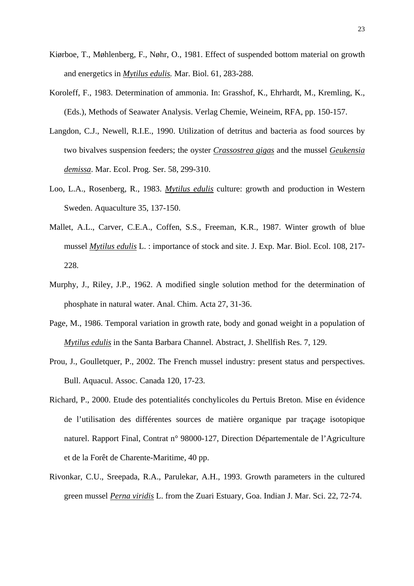- Kiørboe, T., Møhlenberg, F., Nøhr, O., 1981. Effect of suspended bottom material on growth and energetics in *Mytilus edulis.* Mar. Biol. 61, 283-288.
- Koroleff, F., 1983. Determination of ammonia. In: Grasshof, K., Ehrhardt, M., Kremling, K., (Eds.), Methods of Seawater Analysis. Verlag Chemie, Weineim, RFA, pp. 150-157.
- Langdon, C.J., Newell, R.I.E., 1990. Utilization of detritus and bacteria as food sources by two bivalves suspension feeders; the oyster *Crassostrea gigas* and the mussel *Geukensia demissa*. Mar. Ecol. Prog. Ser. 58, 299-310.
- Loo, L.A., Rosenberg, R., 1983. *Mytilus edulis* culture: growth and production in Western Sweden. Aquaculture 35, 137-150.
- Mallet, A.L., Carver, C.E.A., Coffen, S.S., Freeman, K.R., 1987. Winter growth of blue mussel *Mytilus edulis* L. : importance of stock and site. J. Exp. Mar. Biol. Ecol. 108, 217- 228.
- Murphy, J., Riley, J.P., 1962. A modified single solution method for the determination of phosphate in natural water. Anal. Chim. Acta 27, 31-36.
- Page, M., 1986. Temporal variation in growth rate, body and gonad weight in a population of *Mytilus edulis* in the Santa Barbara Channel. Abstract, J. Shellfish Res. 7, 129.
- Prou, J., Goulletquer, P., 2002. The French mussel industry: present status and perspectives. Bull. Aquacul. Assoc. Canada 120, 17-23.
- Richard, P., 2000. Etude des potentialités conchylicoles du Pertuis Breton. Mise en évidence de l'utilisation des différentes sources de matière organique par traçage isotopique naturel. Rapport Final, Contrat n° 98000-127, Direction Départementale de l'Agriculture et de la Forêt de Charente-Maritime, 40 pp.
- Rivonkar, C.U., Sreepada, R.A., Parulekar, A.H., 1993. Growth parameters in the cultured green mussel *Perna viridis* L. from the Zuari Estuary, Goa. Indian J. Mar. Sci. 22, 72-74.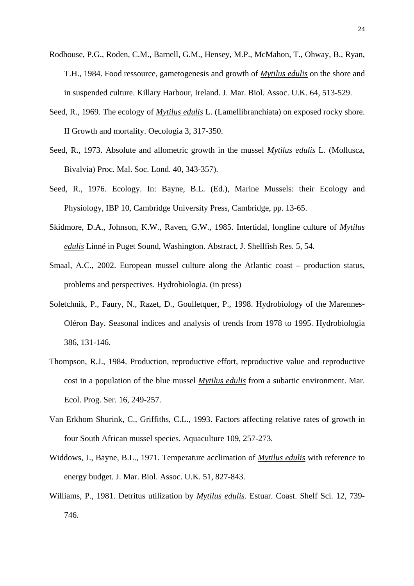- Rodhouse, P.G., Roden, C.M., Barnell, G.M., Hensey, M.P., McMahon, T., Ohway, B., Ryan, T.H., 1984. Food ressource, gametogenesis and growth of *Mytilus edulis* on the shore and in suspended culture. Killary Harbour, Ireland. J. Mar. Biol. Assoc. U.K. 64, 513-529.
- Seed, R., 1969. The ecology of *Mytilus edulis* L. (Lamellibranchiata) on exposed rocky shore. II Growth and mortality. Oecologia 3, 317-350.
- Seed, R., 1973. Absolute and allometric growth in the mussel *Mytilus edulis* L. (Mollusca, Bivalvia) Proc. Mal. Soc. Lond. 40, 343-357).
- Seed, R., 1976. Ecology. In: Bayne, B.L. (Ed.), Marine Mussels: their Ecology and Physiology, IBP 10, Cambridge University Press, Cambridge, pp. 13-65.
- Skidmore, D.A., Johnson, K.W., Raven, G.W., 1985. Intertidal, longline culture of *Mytilus edulis* Linné in Puget Sound, Washington. Abstract, J. Shellfish Res. 5, 54.
- Smaal, A.C., 2002. European mussel culture along the Atlantic coast production status, problems and perspectives. Hydrobiologia. (in press)
- Soletchnik, P., Faury, N., Razet, D., Goulletquer, P., 1998. Hydrobiology of the Marennes-Oléron Bay. Seasonal indices and analysis of trends from 1978 to 1995. Hydrobiologia 386, 131-146.
- Thompson, R.J., 1984. Production, reproductive effort, reproductive value and reproductive cost in a population of the blue mussel *Mytilus edulis* from a subartic environment. Mar. Ecol. Prog. Ser. 16, 249-257.
- Van Erkhom Shurink, C., Griffiths, C.L., 1993. Factors affecting relative rates of growth in four South African mussel species. Aquaculture 109, 257-273.
- Widdows, J., Bayne, B.L., 1971. Temperature acclimation of *Mytilus edulis* with reference to energy budget. J. Mar. Biol. Assoc. U.K. 51, 827-843.
- Williams, P., 1981. Detritus utilization by *Mytilus edulis.* Estuar. Coast. Shelf Sci. 12, 739- 746.